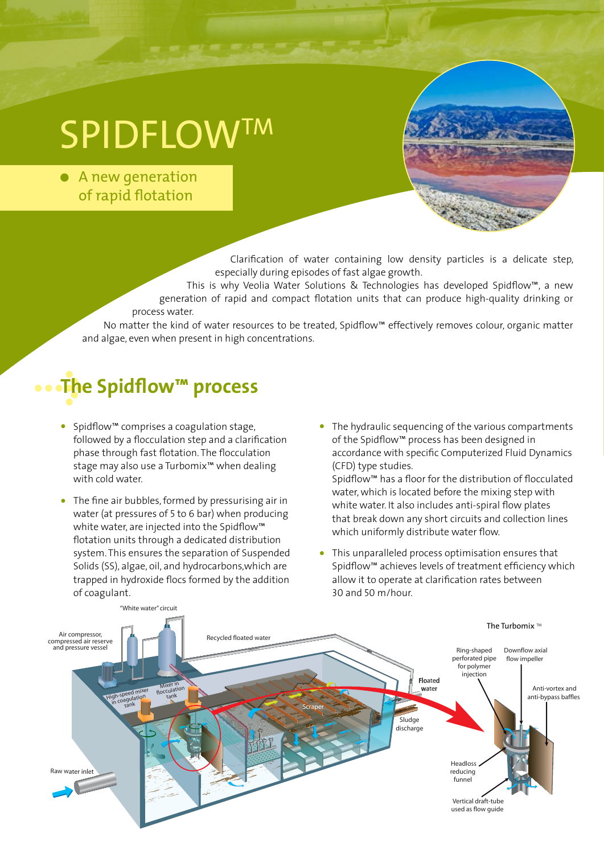# **SPIDFLOWTM**

• A new generation of rapid flotation

> Clarification of water containing low density particles is a delicate step, especially during episodes of fast algae growth.

This is why Veolia Water Solutions & Technologies has developed Spidflow™, a new generation of rapid and compact flotation units that can produce high-quality drinking or process water.

No matter the kind of water resources to be treated, Spidflow™ effectively removes colour, organic matter and algae, even when present in high concentrations.

### **The Spidflow™ process**

- Spidflow™ comprises a coagulation stage, followed by a flocculation step and a clarification phase through fast flotation. The flocculation stage may also use a Turbomix™ when dealing with cold water.
- The fine air bubbles, formed by pressurising air in water (at pressures of 5 to 6 bar) when producing white water, are injected into the Spidflow™ flotation units through a dedicated distribution system. This ensures the separation of Suspended Solids (SS), algae, oil, and hydrocarbons,which are trapped in hydroxide flocs formed by the addition of coagulant.
- The hydraulic sequencing of the various compartments of the Spidflow™ process has been designed in accordance with specific Computerized Fluid Dynamics (CFD) type studies.

Spidflow™ has a floor for the distribution of flocculated water, which is located before the mixing step with white water. It also includes anti-spiral flow plates that break down any short circuits and collection lines which uniformly distribute water flow.

This unparalleled process optimisation ensures that Spidflow™ achieves levels of treatment efficiency which allow it to operate at clarification rates between 30 and 50 m/hour.